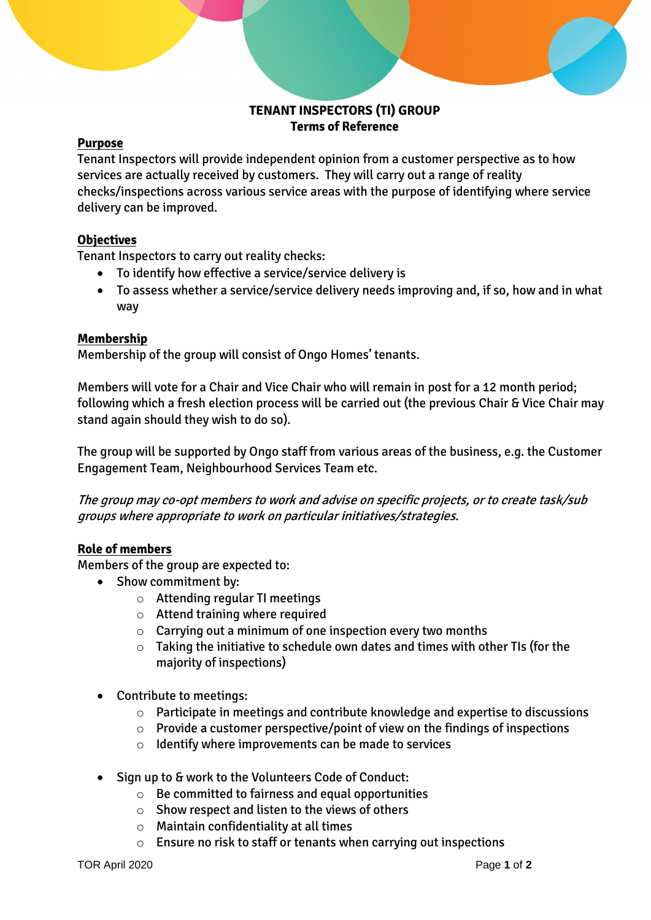# **TENANT INSPECTORS (TI) GROUP Terms of Reference**

## **Purpose**

Tenant Inspectors will provide independent opinion from a customer perspective as to how services are actually received by customers. They will carry out a range of reality checks/inspections across various service areas with the purpose of identifying where service delivery can be improved.

# **Objectives**

Tenant Inspectors to carry out reality checks:

- To identify how effective a service/service delivery is
- To assess whether a service/service delivery needs improving and, if so, how and in what way

## **Membership**

Membership of the group will consist of Ongo Homes' tenants.

Members will vote for a Chair and Vice Chair who will remain in post for a 12 month period; following which a fresh election process will be carried out (the previous Chair & Vice Chair may stand again should they wish to do so).

The group will be supported by Ongo staff from various areas of the business, e.g. the Customer Engagement Team, Neighbourhood Services Team etc.

The group may co-opt members to work and advise on specific projects, or to create task/sub groups where appropriate to work on particular initiatives/strategies.

# **Role of members**

Members of the group are expected to:

- Show commitment by:
	- o Attending regular TI meetings
	- o Attend training where required
	- $\circ$  Carrying out a minimum of one inspection every two months
	- $\circ$  Taking the initiative to schedule own dates and times with other TIs (for the majority of inspections)
- Contribute to meetings:
	- o Participate in meetings and contribute knowledge and expertise to discussions
	- $\circ$  Provide a customer perspective/point of view on the findings of inspections
	- $\circ$  Identify where improvements can be made to services
- Sign up to & work to the Volunteers Code of Conduct:
	- o Be committed to fairness and equal opportunities
	- $\circ$  Show respect and listen to the views of others
	- $\circ$  Maintain confidentiality at all times
	- $\circ$  Ensure no risk to staff or tenants when carrying out inspections